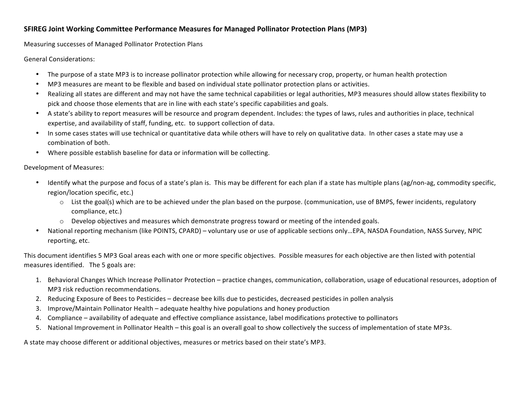## **SFIREG Joint Working Committee Performance Measures for Managed Pollinator Protection Plans (MP3)**

Measuring successes of Managed Pollinator Protection Plans

General Considerations:

- The purpose of a state MP3 is to increase pollinator protection while allowing for necessary crop, property, or human health protection
- MP3 measures are meant to be flexible and based on individual state pollinator protection plans or activities.
- Realizing all states are different and may not have the same technical capabilities or legal authorities, MP3 measures should allow states flexibility to pick and choose those elements that are in line with each state's specific capabilities and goals.
- A state's ability to report measures will be resource and program dependent. Includes: the types of laws, rules and authorities in place, technical expertise, and availability of staff, funding, etc. to support collection of data.
- In some cases states will use technical or quantitative data while others will have to rely on qualitative data. In other cases a state may use a combination of both.
- Where possible establish baseline for data or information will be collecting.

Development of Measures:

- Identify what the purpose and focus of a state's plan is. This may be different for each plan if a state has multiple plans (ag/non-ag, commodity specific, region/location specific, etc.)
	- $\circ$  List the goal(s) which are to be achieved under the plan based on the purpose. (communication, use of BMPS, fewer incidents, regulatory compliance, etc.)
	- $\circ$  Develop objectives and measures which demonstrate progress toward or meeting of the intended goals.
- National reporting mechanism (like POINTS, CPARD) voluntary use or use of applicable sections only...EPA, NASDA Foundation, NASS Survey, NPIC reporting, etc.

This document identifies 5 MP3 Goal areas each with one or more specific objectives. Possible measures for each objective are then listed with potential measures identified. The 5 goals are:

- 1. Behavioral Changes Which Increase Pollinator Protection practice changes, communication, collaboration, usage of educational resources, adoption of MP3 risk reduction recommendations.
- 2. Reducing Exposure of Bees to Pesticides decrease bee kills due to pesticides, decreased pesticides in pollen analysis
- 3. Improve/Maintain Pollinator Health adequate healthy hive populations and honey production
- 4. Compliance availability of adequate and effective compliance assistance, label modifications protective to pollinators
- 5. National Improvement in Pollinator Health this goal is an overall goal to show collectively the success of implementation of state MP3s.

A state may choose different or additional objectives, measures or metrics based on their state's MP3.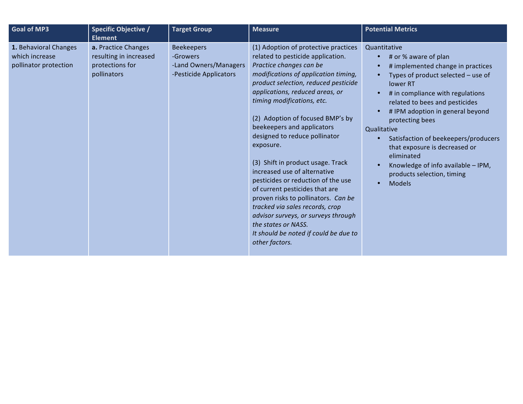| <b>Goal of MP3</b>                                               | <b>Specific Objective /</b><br><b>Element</b>                                   | <b>Target Group</b>                                                              | <b>Measure</b>                                                                                                                                                                                                                                                                                                                                                                                                                                                                                                                                                                                                                                                                                                        | <b>Potential Metrics</b>                                                                                                                                                                                                                                                                                                                                                                                                                                                                   |
|------------------------------------------------------------------|---------------------------------------------------------------------------------|----------------------------------------------------------------------------------|-----------------------------------------------------------------------------------------------------------------------------------------------------------------------------------------------------------------------------------------------------------------------------------------------------------------------------------------------------------------------------------------------------------------------------------------------------------------------------------------------------------------------------------------------------------------------------------------------------------------------------------------------------------------------------------------------------------------------|--------------------------------------------------------------------------------------------------------------------------------------------------------------------------------------------------------------------------------------------------------------------------------------------------------------------------------------------------------------------------------------------------------------------------------------------------------------------------------------------|
| 1. Behavioral Changes<br>which increase<br>pollinator protection | a. Practice Changes<br>resulting in increased<br>protections for<br>pollinators | <b>Beekeepers</b><br>-Growers<br>-Land Owners/Managers<br>-Pesticide Applicators | (1) Adoption of protective practices<br>related to pesticide application.<br>Practice changes can be<br>modifications of application timing,<br>product selection, reduced pesticide<br>applications, reduced areas, or<br>timing modifications, etc.<br>(2) Adoption of focused BMP's by<br>beekeepers and applicators<br>designed to reduce pollinator<br>exposure.<br>(3) Shift in product usage. Track<br>increased use of alternative<br>pesticides or reduction of the use<br>of current pesticides that are<br>proven risks to pollinators. Can be<br>tracked via sales records, crop<br>advisor surveys, or surveys through<br>the states or NASS.<br>It should be noted if could be due to<br>other factors. | Quantitative<br># or % aware of plan<br>$\bullet$<br># implemented change in practices<br>Types of product selected - use of<br>$\bullet$<br>lower RT<br># in compliance with regulations<br>related to bees and pesticides<br># IPM adoption in general beyond<br>protecting bees<br>Qualitative<br>Satisfaction of beekeepers/producers<br>that exposure is decreased or<br>eliminated<br>Knowledge of info available - IPM,<br>products selection, timing<br><b>Models</b><br>$\bullet$ |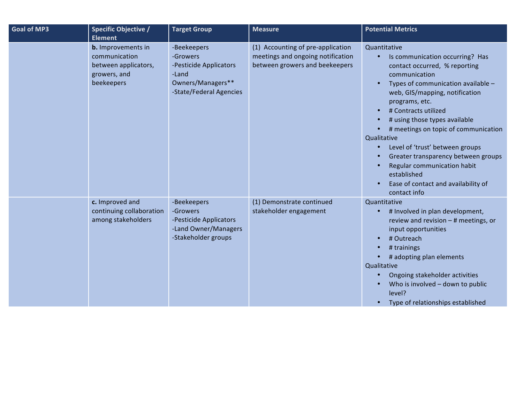| <b>Goal of MP3</b> | <b>Specific Objective /</b><br><b>Element</b>                                                    | <b>Target Group</b>                                                                                        | <b>Measure</b>                                                                                           | <b>Potential Metrics</b>                                                                                                                                                                                                                                                                                                                                                                                                                                                                   |
|--------------------|--------------------------------------------------------------------------------------------------|------------------------------------------------------------------------------------------------------------|----------------------------------------------------------------------------------------------------------|--------------------------------------------------------------------------------------------------------------------------------------------------------------------------------------------------------------------------------------------------------------------------------------------------------------------------------------------------------------------------------------------------------------------------------------------------------------------------------------------|
|                    | <b>b.</b> Improvements in<br>communication<br>between applicators,<br>growers, and<br>beekeepers | -Beekeepers<br>-Growers<br>-Pesticide Applicators<br>-Land<br>Owners/Managers**<br>-State/Federal Agencies | (1) Accounting of pre-application<br>meetings and ongoing notification<br>between growers and beekeepers | Quantitative<br>Is communication occurring? Has<br>contact occurred, % reporting<br>communication<br>Types of communication available -<br>web, GIS/mapping, notification<br>programs, etc.<br># Contracts utilized<br># using those types available<br># meetings on topic of communication<br>Qualitative<br>Level of 'trust' between groups<br>Greater transparency between groups<br>Regular communication habit<br>established<br>Ease of contact and availability of<br>contact info |
|                    | c. Improved and<br>continuing collaboration<br>among stakeholders                                | -Beekeepers<br>-Growers<br>-Pesticide Applicators<br>-Land Owner/Managers<br>-Stakeholder groups           | (1) Demonstrate continued<br>stakeholder engagement                                                      | Quantitative<br># Involved in plan development,<br>review and revision $-$ # meetings, or<br>input opportunities<br># Outreach<br># trainings<br># adopting plan elements<br>Qualitative<br>Ongoing stakeholder activities<br>Who is involved - down to public<br>level?<br>Type of relationships established                                                                                                                                                                              |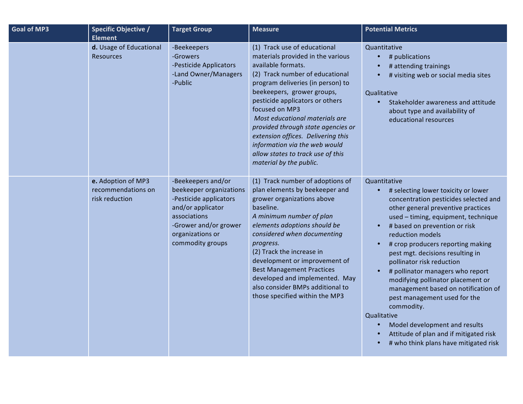| <b>Goal of MP3</b> | <b>Specific Objective /</b>                                | <b>Target Group</b>                                                                                                                                                           | <b>Measure</b>                                                                                                                                                                                                                                                                                                                                                                                                                                                    | <b>Potential Metrics</b>                                                                                                                                                                                                                                                                                                                                                                                                                                                                                                                                                                                                              |
|--------------------|------------------------------------------------------------|-------------------------------------------------------------------------------------------------------------------------------------------------------------------------------|-------------------------------------------------------------------------------------------------------------------------------------------------------------------------------------------------------------------------------------------------------------------------------------------------------------------------------------------------------------------------------------------------------------------------------------------------------------------|---------------------------------------------------------------------------------------------------------------------------------------------------------------------------------------------------------------------------------------------------------------------------------------------------------------------------------------------------------------------------------------------------------------------------------------------------------------------------------------------------------------------------------------------------------------------------------------------------------------------------------------|
|                    | Element                                                    |                                                                                                                                                                               |                                                                                                                                                                                                                                                                                                                                                                                                                                                                   |                                                                                                                                                                                                                                                                                                                                                                                                                                                                                                                                                                                                                                       |
|                    | d. Usage of Educational<br><b>Resources</b>                | -Beekeepers<br>-Growers<br>-Pesticide Applicators<br>-Land Owner/Managers<br>-Public                                                                                          | (1) Track use of educational<br>materials provided in the various<br>available formats.<br>(2) Track number of educational<br>program deliveries (in person) to<br>beekeepers, grower groups,<br>pesticide applicators or others<br>focused on MP3<br>Most educational materials are<br>provided through state agencies or<br>extension offices. Delivering this<br>information via the web would<br>allow states to track use of this<br>material by the public. | Quantitative<br># publications<br># attending trainings<br># visiting web or social media sites<br>Qualitative<br>Stakeholder awareness and attitude<br>about type and availability of<br>educational resources                                                                                                                                                                                                                                                                                                                                                                                                                       |
|                    | e. Adoption of MP3<br>recommendations on<br>risk reduction | -Beekeepers and/or<br>beekeeper organizations<br>-Pesticide applicators<br>and/or applicator<br>associations<br>-Grower and/or grower<br>organizations or<br>commodity groups | (1) Track number of adoptions of<br>plan elements by beekeeper and<br>grower organizations above<br>baseline.<br>A minimum number of plan<br>elements adoptions should be<br>considered when documenting<br>progress.<br>(2) Track the increase in<br>development or improvement of<br><b>Best Management Practices</b><br>developed and implemented. May<br>also consider BMPs additional to<br>those specified within the MP3                                   | Quantitative<br># selecting lower toxicity or lower<br>concentration pesticides selected and<br>other general preventive practices<br>used - timing, equipment, technique<br># based on prevention or risk<br>reduction models<br># crop producers reporting making<br>pest mgt. decisions resulting in<br>pollinator risk reduction<br># pollinator managers who report<br>modifying pollinator placement or<br>management based on notification of<br>pest management used for the<br>commodity.<br>Qualitative<br>Model development and results<br>Attitude of plan and if mitigated risk<br># who think plans have mitigated risk |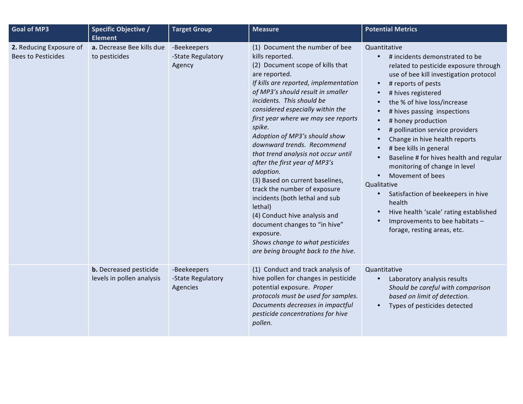| <b>Goal of MP3</b>                                   | <b>Specific Objective /</b>                                  | <b>Target Group</b>                          | <b>Measure</b>                                                                                                                                                                                                                                                                                                                                                                                                                                                                                                                                                                                                                                                                                                                      | <b>Potential Metrics</b>                                                                                                                                                                                                                                                                                                                                                                                                                                                                                                                                                                                                                                                                                                             |
|------------------------------------------------------|--------------------------------------------------------------|----------------------------------------------|-------------------------------------------------------------------------------------------------------------------------------------------------------------------------------------------------------------------------------------------------------------------------------------------------------------------------------------------------------------------------------------------------------------------------------------------------------------------------------------------------------------------------------------------------------------------------------------------------------------------------------------------------------------------------------------------------------------------------------------|--------------------------------------------------------------------------------------------------------------------------------------------------------------------------------------------------------------------------------------------------------------------------------------------------------------------------------------------------------------------------------------------------------------------------------------------------------------------------------------------------------------------------------------------------------------------------------------------------------------------------------------------------------------------------------------------------------------------------------------|
| 2. Reducing Exposure of<br><b>Bees to Pesticides</b> | <b>Element</b><br>a. Decrease Bee kills due<br>to pesticides | -Beekeepers<br>-State Regulatory<br>Agency   | (1) Document the number of bee<br>kills reported.<br>(2) Document scope of kills that<br>are reported.<br>If kills are reported, implementation<br>of MP3's should result in smaller<br>incidents. This should be<br>considered especially within the<br>first year where we may see reports<br>spike.<br>Adoption of MP3's should show<br>downward trends. Recommend<br>that trend analysis not occur until<br>after the first year of MP3's<br>adoption.<br>(3) Based on current baselines,<br>track the number of exposure<br>incidents (both lethal and sub<br>lethal)<br>(4) Conduct hive analysis and<br>document changes to "in hive"<br>exposure.<br>Shows change to what pesticides<br>are being brought back to the hive. | Quantitative<br># incidents demonstrated to be<br>$\bullet$<br>related to pesticide exposure through<br>use of bee kill investigation protocol<br># reports of pests<br>$\bullet$<br># hives registered<br>$\bullet$<br>the % of hive loss/increase<br># hives passing inspections<br># honey production<br>$\bullet$<br># pollination service providers<br>Change in hive health reports<br># bee kills in general<br>Baseline # for hives health and regular<br>$\bullet$<br>monitoring of change in level<br>Movement of bees<br>$\bullet$<br>Qualitative<br>Satisfaction of beekeepers in hive<br>$\bullet$<br>health<br>Hive health 'scale' rating established<br>Improvements to bee habitats -<br>forage, resting areas, etc. |
|                                                      | <b>b.</b> Decreased pesticide<br>levels in pollen analysis   | -Beekeepers<br>-State Regulatory<br>Agencies | (1) Conduct and track analysis of<br>hive pollen for changes in pesticide<br>potential exposure. Proper<br>protocols must be used for samples.<br>Documents decreases in impactful<br>pesticide concentrations for hive<br>pollen.                                                                                                                                                                                                                                                                                                                                                                                                                                                                                                  | Quantitative<br>Laboratory analysis results<br>$\bullet$<br>Should be careful with comparison<br>based on limit of detection.<br>Types of pesticides detected<br>$\bullet$                                                                                                                                                                                                                                                                                                                                                                                                                                                                                                                                                           |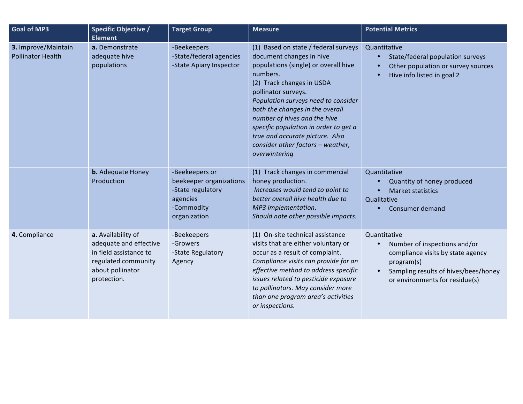| <b>Goal of MP3</b>                              | <b>Specific Objective /</b><br><b>Element</b>                                                                                    | <b>Target Group</b>                                                                                      | <b>Measure</b>                                                                                                                                                                                                                                                                                                                                                                                                       | <b>Potential Metrics</b>                                                                                                                                                                            |
|-------------------------------------------------|----------------------------------------------------------------------------------------------------------------------------------|----------------------------------------------------------------------------------------------------------|----------------------------------------------------------------------------------------------------------------------------------------------------------------------------------------------------------------------------------------------------------------------------------------------------------------------------------------------------------------------------------------------------------------------|-----------------------------------------------------------------------------------------------------------------------------------------------------------------------------------------------------|
| 3. Improve/Maintain<br><b>Pollinator Health</b> | a. Demonstrate<br>adequate hive<br>populations                                                                                   | -Beekeepers<br>-State/federal agencies<br>-State Apiary Inspector                                        | (1) Based on state / federal surveys<br>document changes in hive<br>populations (single) or overall hive<br>numbers.<br>(2) Track changes in USDA<br>pollinator surveys.<br>Population surveys need to consider<br>both the changes in the overall<br>number of hives and the hive<br>specific population in order to get a<br>true and accurate picture. Also<br>consider other factors - weather,<br>overwintering | Quantitative<br>State/federal population surveys<br>$\bullet$<br>Other population or survey sources<br>Hive info listed in goal 2                                                                   |
|                                                 | <b>b.</b> Adequate Honey<br>Production                                                                                           | -Beekeepers or<br>beekeeper organizations<br>-State regulatory<br>agencies<br>-Commodity<br>organization | (1) Track changes in commercial<br>honey production.<br>Increases would tend to point to<br>better overall hive health due to<br>MP3 implementation.<br>Should note other possible impacts.                                                                                                                                                                                                                          | Quantitative<br>Quantity of honey produced<br><b>Market statistics</b><br>Qualitative<br>Consumer demand                                                                                            |
| 4. Compliance                                   | a. Availability of<br>adequate and effective<br>in field assistance to<br>regulated community<br>about pollinator<br>protection. | -Beekeepers<br>-Growers<br>-State Regulatory<br>Agency                                                   | (1) On-site technical assistance<br>visits that are either voluntary or<br>occur as a result of complaint.<br>Compliance visits can provide for an<br>effective method to address specific<br>issues related to pesticide exposure<br>to pollinators. May consider more<br>than one program area's activities<br>or inspections.                                                                                     | Quantitative<br>Number of inspections and/or<br>$\bullet$<br>compliance visits by state agency<br>program(s)<br>Sampling results of hives/bees/honey<br>$\bullet$<br>or environments for residue(s) |